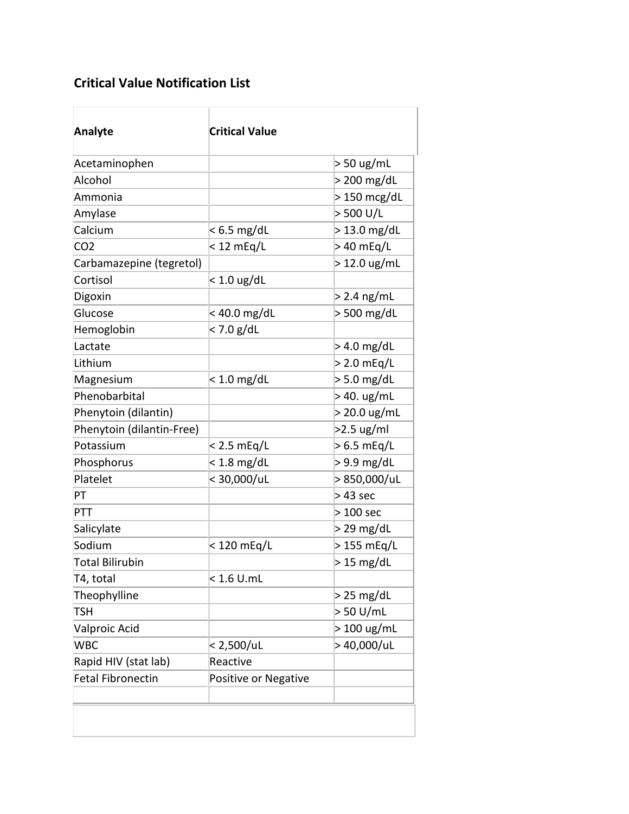## **Critical Value Notification List**

| <b>Analyte</b>            | <b>Critical Value</b> |                        |
|---------------------------|-----------------------|------------------------|
| Acetaminophen             |                       | $> 50$ ug/mL           |
| Alcohol                   |                       | $> 200$ mg/dL          |
| Ammonia                   |                       | $>150$ mcg/dL          |
| Amylase                   |                       | > 500 U/L              |
| Calcium                   | < 6.5 mg/dL           | $>13.0$ mg/dL          |
| CO <sub>2</sub>           | < 12 mEq/L            | > 40 mEg/L             |
| Carbamazepine (tegretol)  |                       | $>12.0 \text{ ug/mL}$  |
| Cortisol                  | $< 1.0$ ug/dL         |                        |
| Digoxin                   |                       | $>$ 2.4 ng/mL          |
| Glucose                   | < 40.0 mg/dL          | $> 500$ mg/dL          |
| Hemoglobin                | < 7.0 g/dL            |                        |
| Lactate                   |                       | $>$ 4.0 mg/dL          |
| Lithium                   |                       | $>$ 2.0 mEq/L          |
| Magnesium                 | $< 1.0$ mg/dL         | $> 5.0$ mg/dL          |
| Phenobarbital             |                       | > 40. ug/mL            |
| Phenytoin (dilantin)      |                       | $> 20.0 \text{ ug/mL}$ |
| Phenytoin (dilantin-Free) |                       | $>2.5$ ug/ml           |
| Potassium                 | < 2.5 mEg/L           | > 6.5 mEg/L            |
| Phosphorus                | $< 1.8$ mg/dL         | $>9.9$ mg/dL           |
| Platelet                  | < 30,000/uL           | > 850,000/uL           |
| PT                        |                       | > 43 sec               |
| PTT                       |                       | $>$ 100 sec            |
| Salicylate                |                       | $>$ 29 mg/dL           |
| Sodium                    | < 120 mEq/L           | > 155 mEq/L            |
| <b>Total Bilirubin</b>    |                       | $> 15$ mg/dL           |
| T4, total                 | $< 1.6$ U.mL          |                        |
| Theophylline              |                       | $> 25$ mg/dL           |
| TSH                       |                       | > 50 U/mL              |
| Valproic Acid             |                       | $>100$ ug/mL           |
| <b>WBC</b>                | < 2,500/uL            | >40,000/uL             |
| Rapid HIV (stat lab)      | Reactive              |                        |
| <b>Fetal Fibronectin</b>  | Positive or Negative  |                        |
|                           |                       |                        |